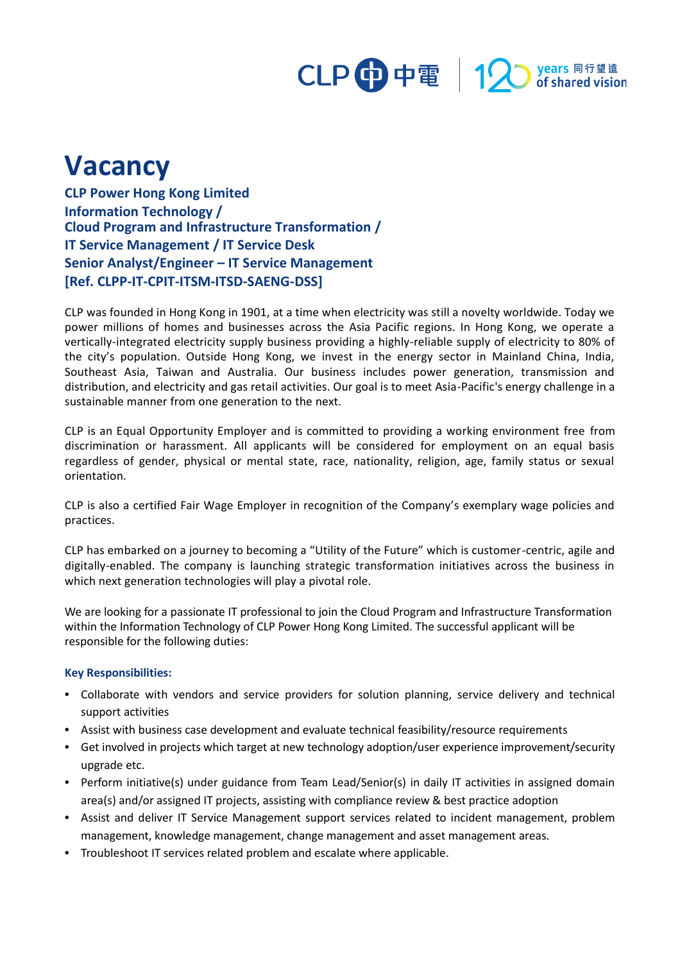# CLP 中電 12 stared vision

## **Vacancy**

**CLP Power Hong Kong Limited Information Technology / Cloud Program and Infrastructure Transformation / IT Service Management / IT Service Desk Senior Analyst/Engineer – IT Service Management [Ref. CLPP-IT-CPIT-ITSM-ITSD-SAENG-DSS]**

CLP was founded in Hong Kong in 1901, at a time when electricity was still a novelty worldwide. Today we power millions of homes and businesses across the Asia Pacific regions. In Hong Kong, we operate a vertically-integrated electricity supply business providing a highly-reliable supply of electricity to 80% of the city's population. Outside Hong Kong, we invest in the energy sector in Mainland China, India, Southeast Asia, Taiwan and Australia. Our business includes power generation, transmission and distribution, and electricity and gas retail activities. Our goal is to meet Asia-Pacific's energy challenge in a sustainable manner from one generation to the next.

CLP is an Equal Opportunity Employer and is committed to providing a working environment free from discrimination or harassment. All applicants will be considered for employment on an equal basis regardless of gender, physical or mental state, race, nationality, religion, age, family status or sexual orientation.

CLP is also a certified Fair Wage Employer in recognition of the Company's exemplary wage policies and practices.

CLP has embarked on a journey to becoming a "Utility of the Future" which is customer-centric, agile and digitally-enabled. The company is launching strategic transformation initiatives across the business in which next generation technologies will play a pivotal role.

We are looking for a passionate IT professional to join the Cloud Program and Infrastructure Transformation within the Information Technology of CLP Power Hong Kong Limited. The successful applicant will be responsible for the following duties:

#### **Key Responsibilities:**

- **•** Collaborate with vendors and service providers for solution planning, service delivery and technical support activities
- **•** Assist with business case development and evaluate technical feasibility/resource requirements
- **•** Get involved in projects which target at new technology adoption/user experience improvement/security upgrade etc.
- Perform initiative(s) under guidance from Team Lead/Senior(s) in daily IT activities in assigned domain area(s) and/or assigned IT projects, assisting with compliance review & best practice adoption
- **•** Assist and deliver IT Service Management support services related to incident management, problem management, knowledge management, change management and asset management areas.
- **•** Troubleshoot IT services related problem and escalate where applicable.